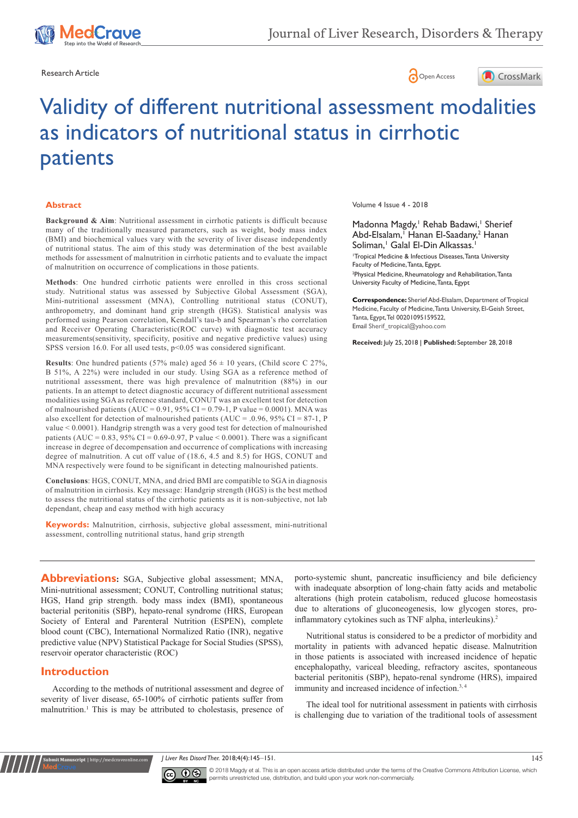





# Validity of different nutritional assessment modalities as indicators of nutritional status in cirrhotic patients

#### **Abstract**

**Background & Aim**: Nutritional assessment in cirrhotic patients is difficult because many of the traditionally measured parameters, such as weight, body mass index (BMI) and biochemical values vary with the severity of liver disease independently of nutritional status. The aim of this study was determination of the best available methods for assessment of malnutrition in cirrhotic patients and to evaluate the impact of malnutrition on occurrence of complications in those patients.

**Methods**: One hundred cirrhotic patients were enrolled in this cross sectional study. Nutritional status was assessed by Subjective Global Assessment (SGA), Mini-nutritional assessment (MNA), Controlling nutritional status (CONUT), anthropometry, and dominant hand grip strength (HGS). Statistical analysis was performed using Pearson correlation, Kendall's tau-b and Spearman's rho correlation and Receiver Operating Characteristic(ROC curve) with diagnostic test accuracy measurements(sensitivity, specificity, positive and negative predictive values) using SPSS version 16.0. For all used tests, p<0.05 was considered significant.

**Results**: One hundred patients (57% male) aged  $56 \pm 10$  years, (Child score C 27%, B 51%, A 22%) were included in our study. Using SGA as a reference method of nutritional assessment, there was high prevalence of malnutrition (88%) in our patients. In an attempt to detect diagnostic accuracy of different nutritional assessment modalities using SGA as reference standard, CONUT was an excellent test for detection of malnourished patients (AUC =  $0.91$ ,  $95\%$  CI =  $0.79-1$ , P value =  $0.0001$ ). MNA was also excellent for detection of malnourished patients (AUC = .0.96, 95% CI = 87-1, P value < 0.0001). Handgrip strength was a very good test for detection of malnourished patients (AUC =  $0.83$ , 95% CI =  $0.69 - 0.97$ , P value <  $0.0001$ ). There was a significant increase in degree of decompensation and occurrence of complications with increasing degree of malnutrition. A cut off value of (18.6, 4.5 and 8.5) for HGS, CONUT and MNA respectively were found to be significant in detecting malnourished patients.

**Conclusions**: HGS, CONUT, MNA, and dried BMI are compatible to SGA in diagnosis of malnutrition in cirrhosis. Key message: Handgrip strength (HGS) is the best method to assess the nutritional status of the cirrhotic patients as it is non-subjective, not lab dependant, cheap and easy method with high accuracy

**Keywords:** Malnutrition, cirrhosis, subjective global assessment, mini-nutritional assessment, controlling nutritional status, hand grip strength

**Abbreviations:** SGA, Subjective global assessment; MNA, Mini-nutritional assessment; CONUT, Controlling nutritional status; HGS, Hand grip strength. body mass index (BMI), spontaneous bacterial peritonitis (SBP), hepato-renal syndrome (HRS, European Society of Enteral and Parenteral Nutrition (ESPEN), complete blood count (CBC), International Normalized Ratio (INR), negative predictive value (NPV) Statistical Package for Social Studies (SPSS), reservoir operator characteristic (ROC)

## **Introduction**

**Kubmit Manuscript** | http://medcraveonli

According to the methods of nutritional assessment and degree of severity of liver disease, 65-100% of cirrhotic patients suffer from malnutrition.<sup>1</sup> This is may be attributed to cholestasis, presence of

Volume 4 Issue 4 - 2018

Madonna Magdy,<sup>1</sup> Rehab Badawi,<sup>1</sup> Sherief Abd-Elsalam,<sup>1</sup> Hanan El-Saadany,<sup>2</sup> Hanan Soliman,<sup>1</sup> Galal El-Din Alkassas.<sup>1</sup>

1 Tropical Medicine & Infectious Diseases, Tanta University Faculty of Medicine, Tanta, Egypt. 2 Physical Medicine, Rheumatology and Rehabilitation, Tanta University Faculty of Medicine, Tanta, Egypt

**Correspondence:** Sherief Abd-Elsalam, Department of Tropical Medicine, Faculty of Medicine, Tanta University, El-Geish Street, Tanta, Egypt, Tel 00201095159522, Email Sherif\_tropical@yahoo.com

**Received:** July 25, 2018 | **Published:** September 28, 2018

porto-systemic shunt, pancreatic insufficiency and bile deficiency with inadequate absorption of long-chain fatty acids and metabolic alterations (high protein catabolism, reduced glucose homeostasis due to alterations of gluconeogenesis, low glycogen stores, proinflammatory cytokines such as TNF alpha, interleukins).<sup>2</sup>

Nutritional status is considered to be a predictor of morbidity and mortality in patients with advanced hepatic disease. Malnutrition in those patients is associated with increased incidence of hepatic encephalopathy, variceal bleeding, refractory ascites, spontaneous bacterial peritonitis (SBP), hepato-renal syndrome (HRS), impaired immunity and increased incidence of infection.<sup>3, 4</sup>

The ideal tool for nutritional assessment in patients with cirrhosis is challenging due to variation of the traditional tools of assessment

*J Liver Res Disord Ther.* 2018;4(4):145‒151. 145



© 2018 Magdy et al. This is an open access article distributed under the terms of the [Creative Commons Attribution License,](https://creativecommons.org/licenses/by-nc/4.0/) which permits unrestricted use, distribution, and build upon your work non-commercially.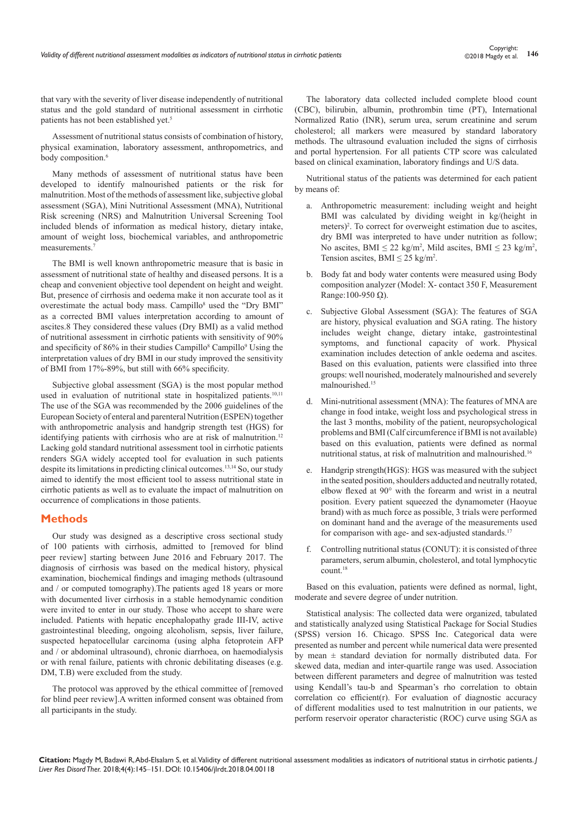that vary with the severity of liver disease independently of nutritional status and the gold standard of nutritional assessment in cirrhotic patients has not been established yet.<sup>5</sup>

Assessment of nutritional status consists of combination of history, physical examination, laboratory assessment, anthropometrics, and body composition.<sup>6</sup>

Many methods of assessment of nutritional status have been developed to identify malnourished patients or the risk for malnutrition. Most of the methods of assessment like, subjective global assessment (SGA), Mini Nutritional Assessment (MNA), Nutritional Risk screening (NRS) and Malnutrition Universal Screening Tool included blends of information as medical history, dietary intake, amount of weight loss, biochemical variables, and anthropometric measurements.7

The BMI is well known anthropometric measure that is basic in assessment of nutritional state of healthy and diseased persons. It is a cheap and convenient objective tool dependent on height and weight. But, presence of cirrhosis and oedema make it non accurate tool as it overestimate the actual body mass. Campillo<sup>8</sup> used the "Dry BMI" as a corrected BMI values interpretation according to amount of ascites.8 They considered these values (Dry BMI) as a valid method of nutritional assessment in cirrhotic patients with sensitivity of 90% and specificity of 86% in their studies Campillo<sup>8</sup> Campillo<sup>9</sup> Using the interpretation values of dry BMI in our study improved the sensitivity of BMI from 17%-89%, but still with 66% specificity.

Subjective global assessment (SGA) is the most popular method used in evaluation of nutritional state in hospitalized patients.<sup>10,11</sup> The use of the SGA was recommended by the 2006 guidelines of the European Society of enteral and parenteral Nutrition (ESPEN) together with anthropometric analysis and handgrip strength test (HGS) for identifying patients with cirrhosis who are at risk of malnutrition.<sup>12</sup> Lacking gold standard nutritional assessment tool in cirrhotic patients renders SGA widely accepted tool for evaluation in such patients despite its limitations in predicting clinical outcomes.13,14 So, our study aimed to identify the most efficient tool to assess nutritional state in cirrhotic patients as well as to evaluate the impact of malnutrition on occurrence of complications in those patients.

#### **Methods**

Our study was designed as a descriptive cross sectional study of 100 patients with cirrhosis, admitted to [removed for blind peer review] starting between June 2016 and February 2017. The diagnosis of cirrhosis was based on the medical history, physical examination, biochemical findings and imaging methods (ultrasound and / or computed tomography).The patients aged 18 years or more with documented liver cirrhosis in a stable hemodynamic condition were invited to enter in our study. Those who accept to share were included. Patients with hepatic encephalopathy grade III-IV, active gastrointestinal bleeding, ongoing alcoholism, sepsis, liver failure, suspected hepatocellular carcinoma (using alpha fetoprotein AFP and / or abdominal ultrasound), chronic diarrhoea, on haemodialysis or with renal failure, patients with chronic debilitating diseases (e.g. DM, T.B) were excluded from the study.

The protocol was approved by the ethical committee of [removed for blind peer review].A written informed consent was obtained from all participants in the study.

The laboratory data collected included complete blood count (CBC), bilirubin, albumin, prothrombin time (PT), International Normalized Ratio (INR), serum urea, serum creatinine and serum cholesterol; all markers were measured by standard laboratory methods. The ultrasound evaluation included the signs of cirrhosis and portal hypertension. For all patients CTP score was calculated based on clinical examination, laboratory findings and U/S data.

Nutritional status of the patients was determined for each patient by means of:

- a. Anthropometric measurement: including weight and height BMI was calculated by dividing weight in kg/(height in meters)<sup>2</sup>. To correct for overweight estimation due to ascites, dry BMI was interpreted to have under nutrition as follow; No ascites, BMI  $\leq 22$  kg/m<sup>2</sup>, Mild ascites, BMI  $\leq 23$  kg/m<sup>2</sup>, Tension ascites, BMI  $\leq$  25 kg/m<sup>2</sup>.
- b. Body fat and body water contents were measured using Body composition analyzer (Model: X- contact 350 F, Measurement Range:  $100-950 \Omega$ ).
- c. Subjective Global Assessment (SGA): The features of SGA are history, physical evaluation and SGA rating. The history includes weight change, dietary intake, gastrointestinal symptoms, and functional capacity of work. Physical examination includes detection of ankle oedema and ascites. Based on this evaluation, patients were classified into three groups: well nourished, moderately malnourished and severely malnourished.15
- d. Mini-nutritional assessment (MNA): The features of MNA are change in food intake, weight loss and psychological stress in the last 3 months, mobility of the patient, neuropsychological problems and BMI (Calf circumference if BMI is not available) based on this evaluation, patients were defined as normal nutritional status, at risk of malnutrition and malnourished.16
- e. Handgrip strength(HGS): HGS was measured with the subject in the seated position, shoulders adducted and neutrally rotated, elbow flexed at 90° with the forearm and wrist in a neutral position. Every patient squeezed the dynamometer (Haoyue brand) with as much force as possible, 3 trials were performed on dominant hand and the average of the measurements used for comparison with age- and sex-adjusted standards.<sup>17</sup>
- f. Controlling nutritional status (CONUT): it is consisted of three parameters, serum albumin, cholesterol, and total lymphocytic count.18

Based on this evaluation, patients were defined as normal, light, moderate and severe degree of under nutrition.

Statistical analysis: The collected data were organized, tabulated and statistically analyzed using Statistical Package for Social Studies (SPSS) version 16. Chicago. SPSS Inc. Categorical data were presented as number and percent while numerical data were presented by mean ± standard deviation for normally distributed data. For skewed data, median and inter-quartile range was used. Association between different parameters and degree of malnutrition was tested using Kendall's tau-b and Spearman's rho correlation to obtain correlation co efficient(r). For evaluation of diagnostic accuracy of different modalities used to test malnutrition in our patients, we perform reservoir operator characteristic (ROC) curve using SGA as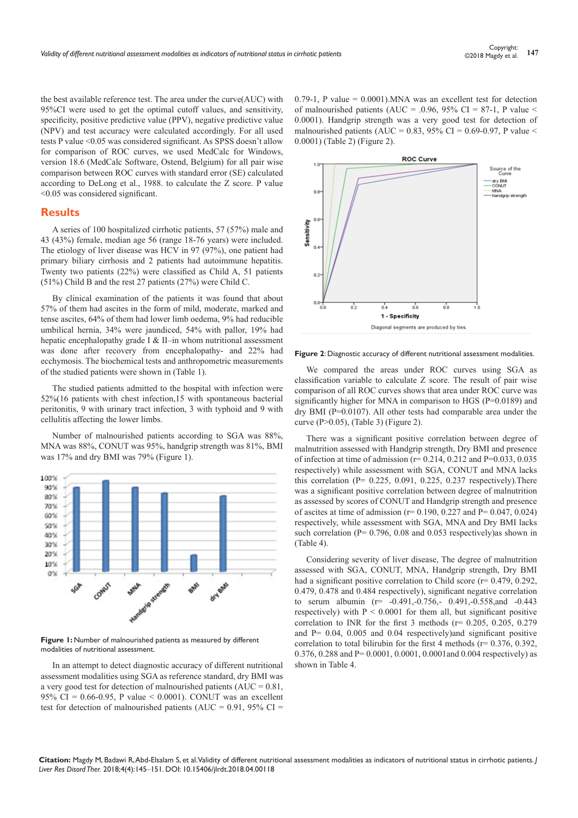the best available reference test. The area under the curve(AUC) with 95%CI were used to get the optimal cutoff values, and sensitivity, specificity, positive predictive value (PPV), negative predictive value (NPV) and test accuracy were calculated accordingly. For all used tests P value <0.05 was considered significant. As SPSS doesn't allow for comparison of ROC curves, we used MedCalc for Windows, version 18.6 (MedCalc Software, Ostend, Belgium) for all pair wise comparison between ROC curves with standard error (SE) calculated according to DeLong et al., 1988. to calculate the Z score. P value <0.05 was considered significant.

## **Results**

A series of 100 hospitalized cirrhotic patients, 57 (57%) male and 43 (43%) female, median age 56 (range 18-76 years) were included. The etiology of liver disease was HCV in 97 (97%), one patient had primary biliary cirrhosis and 2 patients had autoimmune hepatitis. Twenty two patients (22%) were classified as Child A, 51 patients (51%) Child B and the rest 27 patients (27%) were Child C.

By clinical examination of the patients it was found that about 57% of them had ascites in the form of mild, moderate, marked and tense ascites, 64% of them had lower limb oedema, 9% had reducible umbilical hernia, 34% were jaundiced, 54% with pallor, 19% had hepatic encephalopathy grade I & II–in whom nutritional assessment was done after recovery from encephalopathy- and 22% had ecchymosis. The biochemical tests and anthropometric measurements of the studied patients were shown in (Table 1).

The studied patients admitted to the hospital with infection were 52%(16 patients with chest infection,15 with spontaneous bacterial peritonitis, 9 with urinary tract infection, 3 with typhoid and 9 with cellulitis affecting the lower limbs.

Number of malnourished patients according to SGA was 88%, MNA was 88%, CONUT was 95%, handgrip strength was 81%, BMI was 17% and dry BMI was 79% (Figure 1).



Figure 1: Number of malnourished patients as measured by different modalities of nutritional assessment.

In an attempt to detect diagnostic accuracy of different nutritional assessment modalities using SGA as reference standard, dry BMI was a very good test for detection of malnourished patients  $(AUC = 0.81$ , 95% CI =  $0.66 - 0.95$ , P value < 0.0001). CONUT was an excellent test for detection of malnourished patients (AUC =  $0.91$ , 95% CI =

0.79-1, P value = 0.0001).MNA was an excellent test for detection of malnourished patients (AUC = .0.96, 95% CI = 87-1, P value < 0.0001). Handgrip strength was a very good test for detection of malnourished patients (AUC =  $0.83$ , 95% CI =  $0.69$ -0.97, P value < 0.0001) (Table 2) (Figure 2).



**Figure 2**: Diagnostic accuracy of different nutritional assessment modalities.

We compared the areas under ROC curves using SGA as classification variable to calculate Z score. The result of pair wise comparison of all ROC curves shows that area under ROC curve was significantly higher for MNA in comparison to HGS (P=0.0189) and dry BMI (P=0.0107). All other tests had comparable area under the curve (P>0.05), (Table 3) (Figure 2).

There was a significant positive correlation between degree of malnutrition assessed with Handgrip strength, Dry BMI and presence of infection at time of admission ( $r= 0.214$ , 0.212 and P=0.033, 0.035 respectively) while assessment with SGA, CONUT and MNA lacks this correlation (P= 0.225, 0.091, 0.225, 0.237 respectively).There was a significant positive correlation between degree of malnutrition as assessed by scores of CONUT and Handgrip strength and presence of ascites at time of admission ( $r= 0.190, 0.227$  and  $P= 0.047, 0.024$ ) respectively, while assessment with SGA, MNA and Dry BMI lacks such correlation (P= 0.796, 0.08 and 0.053 respectively) as shown in (Table 4).

Considering severity of liver disease, The degree of malnutrition assessed with SGA, CONUT, MNA, Handgrip strength, Dry BMI had a significant positive correlation to Child score (r= 0.479, 0.292, 0.479, 0.478 and 0.484 respectively), significant negative correlation to serum albumin (r= -0.491,-0.756,- 0.491,-0.558,and -0.443 respectively) with  $P < 0.0001$  for them all, but significant positive correlation to INR for the first 3 methods ( $r = 0.205, 0.205, 0.279$ ) and  $P= 0.04$ , 0.005 and 0.04 respectively) and significant positive correlation to total bilirubin for the first 4 methods ( $r = 0.376$ , 0.392, 0.376, 0.288 and P= 0.0001, 0.0001, 0.0001and 0.004 respectively) as shown in Table 4.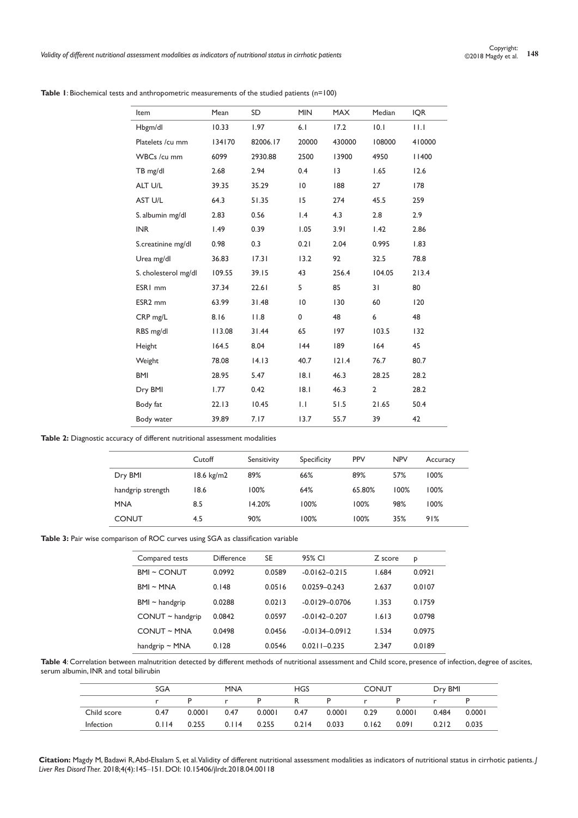| Item                 | Mean   | SD       | <b>MIN</b>      | <b>MAX</b> | Median         | <b>IQR</b>  |
|----------------------|--------|----------|-----------------|------------|----------------|-------------|
| Hbgm/dl              | 10.33  | 1.97     | 6.1             | 17.2       | 10.1           | $  \cdot  $ |
| Platelets /cu mm     | 134170 | 82006.17 | 20000           | 430000     | 108000         | 410000      |
| WBCs /cu mm          | 6099   | 2930.88  | 2500            | 13900      | 4950           | 1400        |
| TB mg/dl             | 2.68   | 2.94     | 0.4             | 13         | 1.65           | 12.6        |
| ALT U/L              | 39.35  | 35.29    | $\overline{10}$ | 188        | 27             | 178         |
| AST U/L              | 64.3   | 51.35    | 15              | 274        | 45.5           | 259         |
| S. albumin mg/dl     | 2.83   | 0.56     | $\mathsf{I}$ .4 | 4.3        | 2.8            | 2.9         |
| <b>INR</b>           | 1.49   | 0.39     | 1.05            | 3.91       | 1.42           | 2.86        |
| S.creatinine mg/dl   | 0.98   | 0.3      | 0.21            | 2.04       | 0.995          | 1.83        |
| Urea mg/dl           | 36.83  | 17.31    | 13.2            | 92         | 32.5           | 78.8        |
| S. cholesterol mg/dl | 109.55 | 39.15    | 43              | 256.4      | 104.05         | 213.4       |
| ESR <sub>I mm</sub>  | 37.34  | 22.61    | 5               | 85         | 31             | 80          |
| ESR <sub>2</sub> mm  | 63.99  | 31.48    | $\overline{10}$ | 130        | 60             | 120         |
| CRP mg/L             | 8.16   | 11.8     | 0               | 48         | 6              | 48          |
| RBS mg/dl            | 113.08 | 31.44    | 65              | 197        | 103.5          | 132         |
| Height               | 164.5  | 8.04     | 44              | 189        | 164            | 45          |
| Weight               | 78.08  | 14.13    | 40.7            | 121.4      | 76.7           | 80.7        |
| <b>BMI</b>           | 28.95  | 5.47     | 8.1             | 46.3       | 28.25          | 28.2        |
| Dry BMI              | 1.77   | 0.42     | 8.1             | 46.3       | $\overline{2}$ | 28.2        |
| Body fat             | 22.13  | 10.45    | $\mathsf{L}$    | 51.5       | 21.65          | 50.4        |
| Body water           | 39.89  | 7.17     | 13.7            | 55.7       | 39             | 42          |

**Table 1**: Biochemical tests and anthropometric measurements of the studied patients (n=100)

**Table 2:** Diagnostic accuracy of different nutritional assessment modalities

|                   | Cutoff     | Sensitivity | Specificity | <b>PPV</b> | <b>NPV</b> | Accuracy |
|-------------------|------------|-------------|-------------|------------|------------|----------|
| Dry BMI           | 18.6 kg/m2 | 89%         | 66%         | 89%        | 57%        | 100%     |
| handgrip strength | 18.6       | 100%        | 64%         | 65.80%     | 100%       | 100%     |
| <b>MNA</b>        | 8.5        | 14.20%      | 100%        | 100%       | 98%        | 100%     |
| <b>CONUT</b>      | 4.5        | 90%         | 100%        | 100%       | 35%        | 91%      |

**Table 3:** Pair wise comparison of ROC curves using SGA as classification variable

| Compared tests        | <b>Difference</b> | SE     | 95% CI             | Z score | P      |
|-----------------------|-------------------|--------|--------------------|---------|--------|
| <b>BMI ~ CONUT</b>    | 0.0992            | 0.0589 | $-0.0162 - 0.215$  | 1.684   | 0.0921 |
| $BMI \sim MNA$        | 0.148             | 0.0516 | $0.0259 - 0.243$   | 2.637   | 0.0107 |
| $BM \sim$ handgrip    | 0.0288            | 0.0213 | $-0.0129 - 0.0706$ | 1.353   | 0.1759 |
| $CONUT \sim$ handgrip | 0.0842            | 0.0597 | $-0.0142 - 0.207$  | 1.613   | 0.0798 |
| $CONUT \sim MNA$      | 0.0498            | 0.0456 | $-0.0134 - 0.0912$ | 1.534   | 0.0975 |
| handgrip $\sim$ MNA   | 0.128             | 0.0546 | $0.0211 - 0.235$   | 2.347   | 0.0189 |

**Table 4**: Correlation between malnutrition detected by different methods of nutritional assessment and Child score, presence of infection, degree of ascites, serum albumin, INR and total bilirubin

|             | <b>SGA</b> |        |       | <b>MNA</b> |       | <b>HGS</b> |              | <b>CONUT</b> |       | Dry BMI |  |
|-------------|------------|--------|-------|------------|-------|------------|--------------|--------------|-------|---------|--|
|             |            |        |       |            |       |            | $\mathbf{r}$ |              |       |         |  |
| Child score | 0.47       | 0.0001 | 0.47  | 0.0001     | 0.47  | 0.0001     | 0.29         | 0.0001       | 0.484 | 0.0001  |  |
| Infection   | 0.114      | 0.255  | 0.114 | 0.255      | 0.214 | 0.033      | 0.162        | 0.091        | 0.212 | 0.035   |  |

**Citation:** Magdy M, Badawi R, Abd-Elsalam S, et al. Validity of different nutritional assessment modalities as indicators of nutritional status in cirrhotic patients. *J Liver Res Disord Ther.* 2018;4(4):145‒151. DOI: [10.15406/jlrdt.2018.04.00118](https://doi.org/10.15406/jlrdt.2018.04.00118)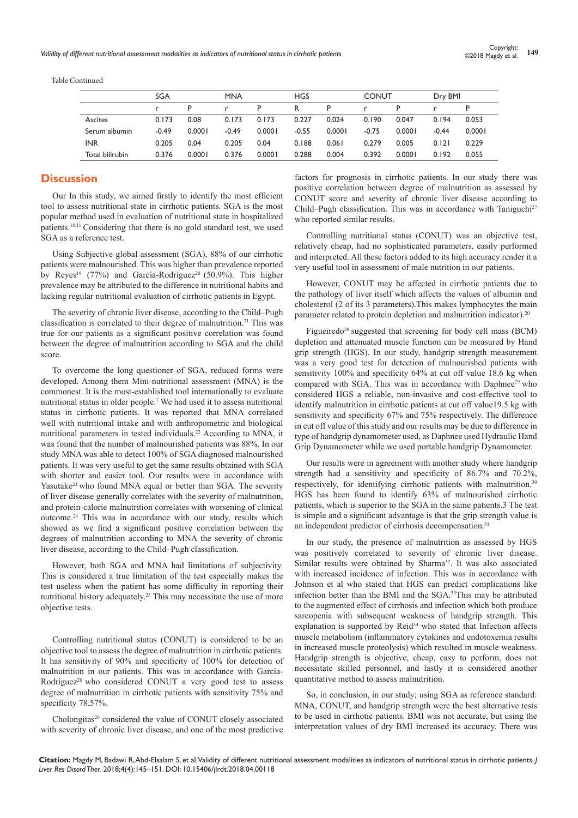Table Continued

|                 | <b>SGA</b> |        | <b>MNA</b> |        | <b>HGS</b> |        | <b>CONUT</b> |        | Dry BMI |        |
|-----------------|------------|--------|------------|--------|------------|--------|--------------|--------|---------|--------|
|                 |            | Þ      |            | P      | R          | P      |              | Þ      |         |        |
| Ascites         | 0.173      | 0.08   | 0.173      | 0.173  | 0.227      | 0.024  | 0.190        | 0.047  | 0.194   | 0.053  |
| Serum albumin   | $-0.49$    | 0.0001 | $-0.49$    | 0.0001 | $-0.55$    | 0.0001 | $-0.75$      | 0.0001 | $-0.44$ | 0.0001 |
| <b>INR</b>      | 0.205      | 0.04   | 0.205      | 0.04   | 0.188      | 0.061  | 0.279        | 0.005  | 0.121   | 0.229  |
| Total bilirubin | 0.376      | 0.0001 | 0.376      | 0.0001 | 0.288      | 0.004  | 0.392        | 0.0001 | 0.192   | 0.055  |

# **Discussion**

Our In this study, we aimed firstly to identify the most efficient tool to assess nutritional state in cirrhotic patients. SGA is the most popular method used in evaluation of nutritional state in hospitalized patients.10,11 Considering that there is no gold standard test, we used SGA as a reference test.

Using Subjective global assessment (SGA), 88% of our cirrhotic patients were malnourished. This was higher than prevalence reported by Reyes<sup>19</sup> (77%) and García-Rodríguez<sup>20</sup> (50.9%). This higher prevalence may be attributed to the difference in nutritional habits and lacking regular nutritional evaluation of cirrhotic patients in Egypt.

The severity of chronic liver disease, according to the Child–Pugh classification is correlated to their degree of malnutrition.<sup>21</sup> This was true for our patients as a significant positive correlation was found between the degree of malnutrition according to SGA and the child score.

To overcome the long questioner of SGA, reduced forms were developed. Among them Mini-nutritional assessment (MNA) is the commonest. It is the most-established tool internationally to evaluate nutritional status in older people.<sup>7</sup> We had used it to assess nutritional status in cirrhotic patients. It was reported that MNA correlated well with nutritional intake and with anthropometric and biological nutritional parameters in tested individuals.22 According to MNA, it was found that the number of malnourished patients was 88%. In our study MNA was able to detect 100% of SGA diagnosed malnourished patients. It was very useful to get the same results obtained with SGA with shorter and easier tool. Our results were in accordance with Yasutake<sup>23</sup> who found MNA equal or better than SGA. The severity of liver disease generally correlates with the severity of malnutrition, and protein-calorie malnutrition correlates with worsening of clinical outcome.24 This was in accordance with our study, results which showed as we find a significant positive correlation between the degrees of malnutrition according to MNA the severity of chronic liver disease, according to the Child–Pugh classification.

However, both SGA and MNA had limitations of subjectivity. This is considered a true limitation of the test especially makes the test useless when the patient has some difficulty in reporting their nutritional history adequately.<sup>25</sup> This may necessitate the use of more objective tests.

Controlling nutritional status (CONUT) is considered to be an objective tool to assess the degree of malnutrition in cirrhotic patients. It has sensitivity of 90% and specificity of 100% for detection of malnutrition in our patients. This was in accordance with García-Rodríguez<sup>20</sup> who considered CONUT a very good test to assess degree of malnutrition in cirrhotic patients with sensitivity 75% and specificity 78.57%.

Cholongitas<sup>26</sup> considered the value of CONUT closely associated with severity of chronic liver disease, and one of the most predictive factors for prognosis in cirrhotic patients. In our study there was positive correlation between degree of malnutrition as assessed by CONUT score and severity of chronic liver disease according to Child–Pugh classification. This was in accordance with Taniguchi<sup>27</sup> who reported similar results.

Controlling nutritional status (CONUT) was an objective test, relatively cheap, had no sophisticated parameters, easily performed and interpreted. All these factors added to its high accuracy render it a very useful tool in assessment of male nutrition in our patients.

However, CONUT may be affected in cirrhotic patients due to the pathology of liver itself which affects the values of albumin and cholesterol (2 of its 3 parameters).This makes lymphocytes the main parameter related to protein depletion and malnutrition indicator).<sup>20</sup>

Figueiredo<sup>28</sup> suggested that screening for body cell mass (BCM) depletion and attenuated muscle function can be measured by Hand grip strength (HGS). In our study, handgrip strength measurement was a very good test for detection of malnourished patients with sensitivity 100% and specificity 64% at cut off value 18.6 kg when compared with SGA. This was in accordance with Daphnee<sup>29</sup> who considered HGS a reliable, non-invasive and cost-effective tool to identify malnutrition in cirrhotic patients at cut off value19.5 kg with sensitivity and specificity 67% and 75% respectively. The difference in cut off value of this study and our results may be due to difference in type of handgrip dynamometer used, as Daphnee used Hydraulic Hand Grip Dynamometer while we used portable handgrip Dynamometer.

Our results were in agreement with another study where handgrip strength had a sensitivity and specificity of 86.7% and 70.2%, respectively, for identifying cirrhotic patients with malnutrition.<sup>30</sup> HGS has been found to identify 63% of malnourished cirrhotic patients, which is superior to the SGA in the same patients.3 The test is simple and a significant advantage is that the grip strength value is an independent predictor of cirrhosis decompensation.<sup>31</sup>

In our study, the presence of malnutrition as assessed by HGS was positively correlated to severity of chronic liver disease. Similar results were obtained by Sharma<sup>32</sup>. It was also associated with increased incidence of infection. This was in accordance with Johnson et al who stated that HGS can predict complications like infection better than the BMI and the SGA.33This may be attributed to the augmented effect of cirrhosis and infection which both produce sarcopenia with subsequent weakness of handgrip strength. This explanation is supported by Reid<sup>34</sup> who stated that Infection affects muscle metabolism (inflammatory cytokines and endotoxemia results in increased muscle proteolysis) which resulted in muscle weakness. Handgrip strength is objective, cheap, easy to perform, does not necessitate skilled personnel, and lastly it is considered another quantitative method to assess malnutrition.

So, in conclusion, in our study; using SGA as reference standard: MNA, CONUT, and handgrip strength were the best alternative tests to be used in cirrhotic patients. BMI was not accurate, but using the interpretation values of dry BMI increased its accuracy. There was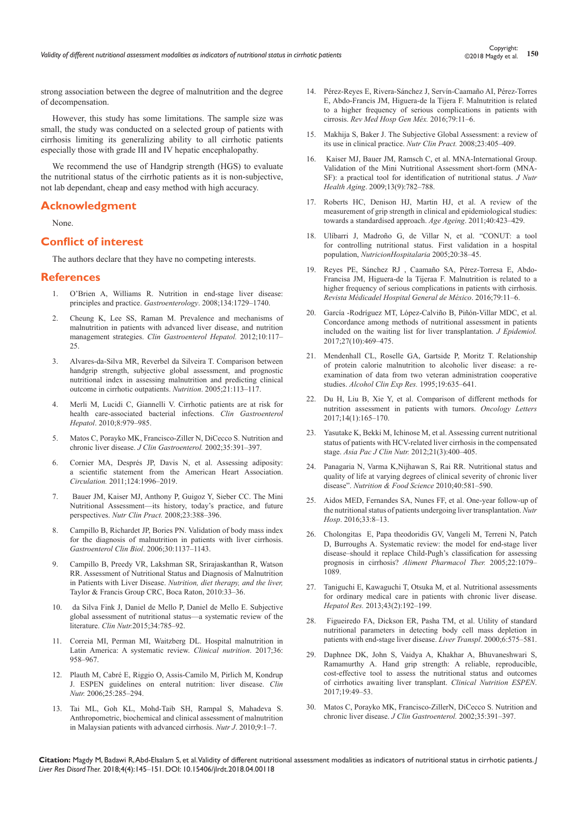strong association between the degree of malnutrition and the degree of decompensation.

However, this study has some limitations. The sample size was small, the study was conducted on a selected group of patients with cirrhosis limiting its generalizing ability to all cirrhotic patients especially those with grade III and IV hepatic encephalopathy.

We recommend the use of Handgrip strength (HGS) to evaluate the nutritional status of the cirrhotic patients as it is non-subjective, not lab dependant, cheap and easy method with high accuracy.

## **Acknowledgment**

None.

# **Conflict of interest**

The authors declare that they have no competing interests.

#### **References**

- 1. [O'Brien A, Williams R. Nutrition in end-stage liver disease:](https://www.ncbi.nlm.nih.gov/pubmed/18471550)  [principles and practice.](https://www.ncbi.nlm.nih.gov/pubmed/18471550) *Gastroenterology*. 2008;134:1729–1740.
- 2. [Cheung K, Lee SS, Raman M. Prevalence and mechanisms of](https://www.ncbi.nlm.nih.gov/pubmed/21893127)  [malnutrition in patients with advanced liver disease, and nutrition](https://www.ncbi.nlm.nih.gov/pubmed/21893127)  management strategies. *[Clin Gastroenterol Hepatol.](https://www.ncbi.nlm.nih.gov/pubmed/21893127)* 2012;10:117– [25.](https://www.ncbi.nlm.nih.gov/pubmed/21893127)
- 3. [Alvares-da-Silva MR, Reverbel da Silveira T. Comparison between](https://www.ncbi.nlm.nih.gov/pubmed/15723736)  [handgrip strength, subjective global assessment, and prognostic](https://www.ncbi.nlm.nih.gov/pubmed/15723736)  [nutritional index in assessing malnutrition and predicting clinical](https://www.ncbi.nlm.nih.gov/pubmed/15723736)  [outcome in cirrhotic outpatients.](https://www.ncbi.nlm.nih.gov/pubmed/15723736) *Nutrition*. 2005;21:113–117.
- 4. [Merli M, Lucidi C, Giannelli V. Cirrhotic patients are at risk for](https://www.ncbi.nlm.nih.gov/pubmed/20621200)  [health care-associated bacterial infections.](https://www.ncbi.nlm.nih.gov/pubmed/20621200) *Clin Gastroenterol Hepatol*[. 2010;8:979–985](https://www.ncbi.nlm.nih.gov/pubmed/20621200).
- 5. [Matos C, Porayko MK, Francisco-Ziller N, DiCecco S. Nutrition and](https://www.ncbi.nlm.nih.gov/pubmed/12394227)  chronic liver disease. *[J Clin Gastroenterol.](https://www.ncbi.nlm.nih.gov/pubmed/12394227)* 2002;35:391–397.
- 6. [Cornier MA, Després JP, Davis N, et al. Assessing adiposity:](https://www.ncbi.nlm.nih.gov/pubmed/21947291)  [a scientific statement from the American Heart Association.](https://www.ncbi.nlm.nih.gov/pubmed/21947291)  *Circulation.* [2011;124:1996–2019.](https://www.ncbi.nlm.nih.gov/pubmed/21947291)
- 7. Bauer JM, Kaiser MJ, [Anthony P, Guigoz Y, Sieber CC.](https://www.ncbi.nlm.nih.gov/pubmed/18682590) The Mini [Nutritional Assessment—its history, today's practice, and future](https://www.ncbi.nlm.nih.gov/pubmed/18682590)  perspectives. *Nutr Clin Pract.* [2008;23:388–396.](https://www.ncbi.nlm.nih.gov/pubmed/18682590)
- 8. [Campillo B, Richardet JP, Bories PN. Validation of body mass index](https://www.ncbi.nlm.nih.gov/pubmed/17075467)  [for the diagnosis of malnutrition in patients with liver cirrhosis.](https://www.ncbi.nlm.nih.gov/pubmed/17075467)  *[Gastroenterol Clin Biol](https://www.ncbi.nlm.nih.gov/pubmed/17075467)*. 2006;30:1137–1143.
- 9. Campillo B, Preedy VR, Lakshman SR, Srirajaskanthan R, Watson RR. Assessment of Nutritional Status and Diagnosis of Malnutrition in Patients with Liver Disease. *Nutrition, diet therapy, and the liver,* Taylor & Francis Group CRC, Boca Raton, 2010:33–36.
- 10. [da Silva Fink J, Daniel de Mello P, Daniel de Mello E. Subjective](https://www.ncbi.nlm.nih.gov/pubmed/25596153)  [global assessment of nutritional status—a systematic review of the](https://www.ncbi.nlm.nih.gov/pubmed/25596153)  literature. *Clin Nutr.*[2015;34:785–92.](https://www.ncbi.nlm.nih.gov/pubmed/25596153)
- 11. [Correia MI, Perman MI, Waitzberg DL. Hospital malnutrition in](https://www.ncbi.nlm.nih.gov/pubmed/27499391)  [Latin America: A systematic review.](https://www.ncbi.nlm.nih.gov/pubmed/27499391) *Clinical nutrition*. 2017;36: [958–967.](https://www.ncbi.nlm.nih.gov/pubmed/27499391)
- 12. [Plauth M, Cabré E, Riggio O, Assis-Camilo M, Pirlich M, Kondrup](https://www.ncbi.nlm.nih.gov/pubmed/16707194)  [J. ESPEN guidelines on enteral nutrition: liver disease.](https://www.ncbi.nlm.nih.gov/pubmed/16707194) *Clin Nutr.* [2006;25:285–294.](https://www.ncbi.nlm.nih.gov/pubmed/16707194)
- 13. [Tai ML, Goh KL, Mohd-Taib SH, Rampal S, Mahadeva S.](https://www.ncbi.nlm.nih.gov/pubmed/20576106)  [Anthropometric, biochemical and clinical assessment of malnutrition](https://www.ncbi.nlm.nih.gov/pubmed/20576106)  [in Malaysian patients with advanced cirrhosis.](https://www.ncbi.nlm.nih.gov/pubmed/20576106) *Nutr J*. 2010;9:1–7.
- 14. Pérez-Reyes E, Rivera-Sánchez J, Servín-Caamaño AI, Pérez-Torres E, Abdo-Francis JM, Higuera-de la Tijera F. Malnutrition is related to a higher frequency of serious complications in patients with cirrosis. *Rev Med Hosp Gen Méx.* 2016;79:11–6.
- 15. [Makhija S, Baker J. The Subjective Global Assessment: a review of](https://www.ncbi.nlm.nih.gov/pubmed/18682592)  [its use in clinical practice.](https://www.ncbi.nlm.nih.gov/pubmed/18682592) *Nutr Clin Pract.* 2008;23:405–409.
- 16. Kaiser MJ, [Bauer JM, Ramsch C, et al. MNA-International Group.](https://www.ncbi.nlm.nih.gov/pubmed/19812868)  [Validation of the Mini Nutritional Assessment short-form \(MNA-](https://www.ncbi.nlm.nih.gov/pubmed/19812868)[SF\): a practical tool for identification of nutritional status.](https://www.ncbi.nlm.nih.gov/pubmed/19812868) *J Nutr Health Aging*[. 2009;13\(9\):782–788](https://www.ncbi.nlm.nih.gov/pubmed/19812868).
- 17. [Roberts HC, Denison HJ, Martin HJ, et al. A review of the](https://www.ncbi.nlm.nih.gov/pubmed/21624928)  [measurement of grip strength in clinical and epidemiological studies:](https://www.ncbi.nlm.nih.gov/pubmed/21624928)  [towards a standardised approach.](https://www.ncbi.nlm.nih.gov/pubmed/21624928) *Age Ageing*. 2011;40:423–429.
- 18. [Ulíbarri J, Madroño G, de Villar N, et al. "CONUT: a tool](https://www.ncbi.nlm.nih.gov/pubmed/15762418)  [for controlling nutritional status. First validation in a hospital](https://www.ncbi.nlm.nih.gov/pubmed/15762418)  population, *[NutricionHospitalaria](https://www.ncbi.nlm.nih.gov/pubmed/15762418)* 2005;20:38–45.
- 19. Reyes PE, Sánchez RJ , Caamaño SA, Pérez-Torresa E, Abdo-Francisa JM, Higuera-de la Tijeraa F. Malnutrition is related to a higher frequency of serious complications in patients with cirrhosis. *Revista Médicadel Hospital General de México*. 2016;79:11–6.
- 20. [García -Rodríguez MT, López-Calviño B, Piñón-Villar MDC, et al.](https://www.ncbi.nlm.nih.gov/pubmed/28549896)  [Concordance among methods of nutritional assessment in patients](https://www.ncbi.nlm.nih.gov/pubmed/28549896)  [included on the waiting list for liver transplantation.](https://www.ncbi.nlm.nih.gov/pubmed/28549896) *J Epidemiol.*  [2017;27\(10\):469–475.](https://www.ncbi.nlm.nih.gov/pubmed/28549896)
- 21. [Mendenhall CL, Roselle GA, Gartside P, Moritz T. Relationship](https://www.ncbi.nlm.nih.gov/pubmed/7573786)  [of protein calorie malnutrition to alcoholic liver disease: a re](https://www.ncbi.nlm.nih.gov/pubmed/7573786)[examination of data from two veteran administration cooperative](https://www.ncbi.nlm.nih.gov/pubmed/7573786)  studies. *[Alcohol Clin Exp Res.](https://www.ncbi.nlm.nih.gov/pubmed/7573786)* 1995;19:635–641.
- 22. [Du H, Liu B, Xie Y, et al. Comparison of different methods for](https://www.ncbi.nlm.nih.gov/pubmed/28693149)  [nutrition assessment in patients with tumors.](https://www.ncbi.nlm.nih.gov/pubmed/28693149) *Oncology Letters* [2017;14\(1\):165–170](https://www.ncbi.nlm.nih.gov/pubmed/28693149).
- 23. [Yasutake K, Bekki M, Ichinose M, et al. Assessing current nutritional](https://www.ncbi.nlm.nih.gov/pubmed/22705430)  [status of patients with HCV-related liver cirrhosis in the compensated](https://www.ncbi.nlm.nih.gov/pubmed/22705430)  stage. *[Asia Pac J Clin Nutr.](https://www.ncbi.nlm.nih.gov/pubmed/22705430)* 2012;21(3):400–405.
- 24. Panagaria N, Varma K,Nijhawan S, Rai RR. Nutritional status and quality of life at varying degrees of clinical severity of chronic liver disease". *Nutrition & Food Science* 2010;40:581–590.
- 25. [Aidos MED, Fernandes SA, Nunes FF, et al. One-year follow-up of](http://www.redalyc.org/pdf/3092/309245772003.pdf)  [the nutritional status of patients undergoing liver transplantation.](http://www.redalyc.org/pdf/3092/309245772003.pdf) *Nutr Hosp*[. 2016;33:8–13.](http://www.redalyc.org/pdf/3092/309245772003.pdf)
- 26. Cholongitas E, Papa theodoridis GV, [Vangeli M, Terreni N, Patch](https://onlinelibrary.wiley.com/doi/epdf/10.1111/j.1365-2036.2005.02691.x)  [D, Burroughs A. Systematic review: the model for end-stage liver](https://onlinelibrary.wiley.com/doi/epdf/10.1111/j.1365-2036.2005.02691.x)  [disease–should it replace Child-Pugh's classification for assessing](https://onlinelibrary.wiley.com/doi/epdf/10.1111/j.1365-2036.2005.02691.x)  prognosis in cirrhosis? *[Aliment Pharmacol Ther.](https://onlinelibrary.wiley.com/doi/epdf/10.1111/j.1365-2036.2005.02691.x)* 2005;22:1079– [1089.](https://onlinelibrary.wiley.com/doi/epdf/10.1111/j.1365-2036.2005.02691.x)
- 27. [Taniguchi E, Kawaguchi T, Otsuka M, et al. Nutritional assessments](https://www.ncbi.nlm.nih.gov/pubmed/22827610)  [for ordinary medical care in patients with chronic liver disease.](https://www.ncbi.nlm.nih.gov/pubmed/22827610)  *Hepatol Res.* [2013;43\(2\):192–199.](https://www.ncbi.nlm.nih.gov/pubmed/22827610)
- 28. [Figueiredo FA, Dickson ER, Pasha TM, et al. Utility of standard](https://www.ncbi.nlm.nih.gov/pubmed/10980056)  [nutritional parameters in detecting body cell mass depletion in](https://www.ncbi.nlm.nih.gov/pubmed/10980056)  [patients with end-stage liver disease.](https://www.ncbi.nlm.nih.gov/pubmed/10980056) *Liver Transpl*. 2000;6:575–581.
- 29. [Daphnee DK, John S, Vaidya A, Khakhar A, Bhuvaneshwari S,](https://clinicalnutritionespen.com/article/S2405-4577(16)30342-4/abstract)  [Ramamurthy A. Hand grip strength: A reliable, reproducible,](https://clinicalnutritionespen.com/article/S2405-4577(16)30342-4/abstract)  [cost-effective tool to assess the](https://clinicalnutritionespen.com/article/S2405-4577(16)30342-4/abstract) nutritional status and outcomes of cirrhotics [awaiting liver transplant.](https://clinicalnutritionespen.com/article/S2405-4577(16)30342-4/abstract) *Clinical Nutrition ESPEN*. [2017;19:49–53.](https://clinicalnutritionespen.com/article/S2405-4577(16)30342-4/abstract)
- 30. [Matos C, Porayko MK, Francisco-ZillerN, DiCecco S. Nutrition and](https://www.ncbi.nlm.nih.gov/pubmed/12394227)  chronic liver disease. *[J Clin Gastroenterol.](https://www.ncbi.nlm.nih.gov/pubmed/12394227)* 2002;35:391–397.

**Citation:** Magdy M, Badawi R, Abd-Elsalam S, et al. Validity of different nutritional assessment modalities as indicators of nutritional status in cirrhotic patients. *J Liver Res Disord Ther.* 2018;4(4):145‒151. DOI: [10.15406/jlrdt.2018.04.00118](https://doi.org/10.15406/jlrdt.2018.04.00118)